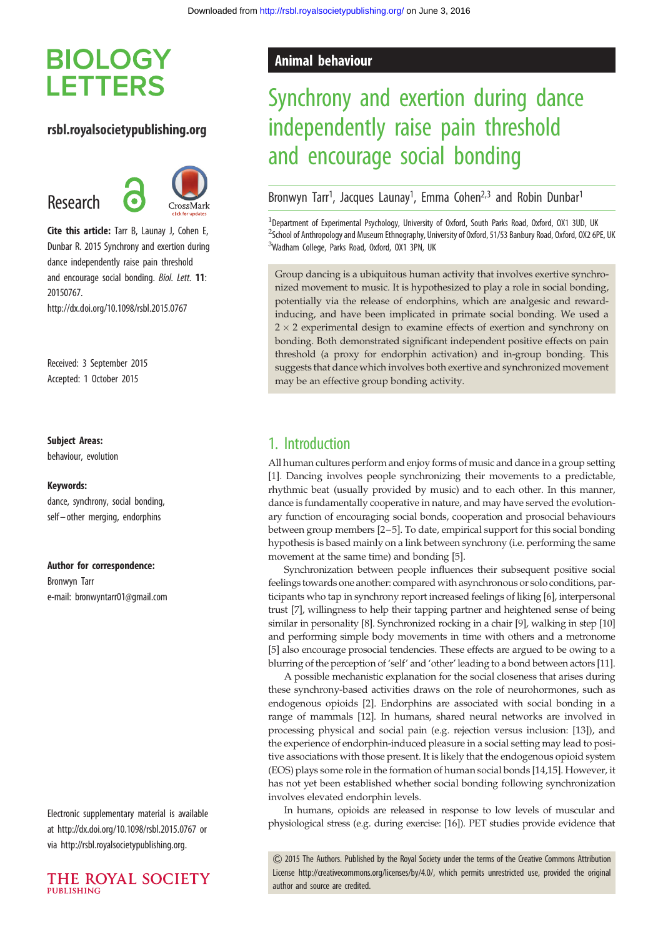# **BIOLOGY LETTERS**

## rsbl.royalsocietypublishing.org

Research



Cite this article: Tarr B, Launay J, Cohen E, Dunbar R. 2015 Synchrony and exertion during dance independently raise pain threshold and encourage social bonding. Biol. Lett. 11: 20150767.

http://dx.doi.org/10.1098/rsbl.2015.0767

Received: 3 September 2015 Accepted: 1 October 2015

#### Subject Areas:

behaviour, evolution

#### Keywords:

dance, synchrony, social bonding, self – other merging, endorphins

#### Author for correspondence:

Bronwyn Tarr e-mail: [bronwyntarr01@gmail.com](mailto:bronwyntarr01@gmail.com)

Electronic supplementary material is available at<http://dx.doi.org/10.1098/rsbl.2015.0767> or via<http://rsbl.royalsocietypublishing.org>.



# Animal behaviour

# Synchrony and exertion during dance independently raise pain threshold and encourage social bonding

Bronwyn Tarr<sup>1</sup>, Jacques Launay<sup>1</sup>, Emma Cohen<sup>2,3</sup> and Robin Dunbar<sup>1</sup>

<sup>1</sup>Department of Experimental Psychology, University of Oxford, South Parks Road, Oxford, OX1 3UD, UK <sup>2</sup>School of Anthropology and Museum Ethnography, University of Oxford, 51/53 Banbury Road, Oxford, OX2 6PE, UK <sup>3</sup>Wadham College, Parks Road, Oxford, OX1 3PN, UK

Group dancing is a ubiquitous human activity that involves exertive synchronized movement to music. It is hypothesized to play a role in social bonding, potentially via the release of endorphins, which are analgesic and rewardinducing, and have been implicated in primate social bonding. We used a  $2 \times 2$  experimental design to examine effects of exertion and synchrony on bonding. Both demonstrated significant independent positive effects on pain threshold (a proxy for endorphin activation) and in-group bonding. This suggests that dance which involves both exertive and synchronized movement may be an effective group bonding activity.

# 1. Introduction

All human cultures perform and enjoy forms of music and dance in a group setting [[1](#page-2-0)]. Dancing involves people synchronizing their movements to a predictable, rhythmic beat (usually provided by music) and to each other. In this manner, dance is fundamentally cooperative in nature, and may have served the evolutionary function of encouraging social bonds, cooperation and prosocial behaviours between group members [[2](#page-2-0)–[5\]](#page-3-0). To date, empirical support for this social bonding hypothesis is based mainly on a link between synchrony (i.e. performing the same movement at the same time) and bonding [[5](#page-3-0)].

Synchronization between people influences their subsequent positive social feelings towards one another: compared with asynchronous or solo conditions, participants who tap in synchrony report increased feelings of liking [\[6](#page-3-0)], interpersonal trust [\[7\]](#page-3-0), willingness to help their tapping partner and heightened sense of being similar in personality [\[8\]](#page-3-0). Synchronized rocking in a chair [[9\]](#page-3-0), walking in step [\[10\]](#page-3-0) and performing simple body movements in time with others and a metronome [[5](#page-3-0)] also encourage prosocial tendencies. These effects are argued to be owing to a blurring of the perception of 'self' and 'other' leading to a bond between actors [\[11\]](#page-3-0).

A possible mechanistic explanation for the social closeness that arises during these synchrony-based activities draws on the role of neurohormones, such as endogenous opioids [\[2\]](#page-2-0). Endorphins are associated with social bonding in a range of mammals [\[12](#page-3-0)]. In humans, shared neural networks are involved in processing physical and social pain (e.g. rejection versus inclusion: [\[13](#page-3-0)]), and the experience of endorphin-induced pleasure in a social setting may lead to positive associations with those present. It is likely that the endogenous opioid system (EOS) plays some role in the formation of human social bonds [[14,15\]](#page-3-0). However, it has not yet been established whether social bonding following synchronization involves elevated endorphin levels.

In humans, opioids are released in response to low levels of muscular and physiological stress (e.g. during exercise: [\[16\]](#page-3-0)). PET studies provide evidence that

& 2015 The Authors. Published by the Royal Society under the terms of the Creative Commons Attribution License [http://creativecommons.org/licenses/by/4.0/, which permits unrestricted use, provided the original](http://creativecommons.org/licenses/by/4.0/) [author and source are credited.](http://creativecommons.org/licenses/by/4.0/)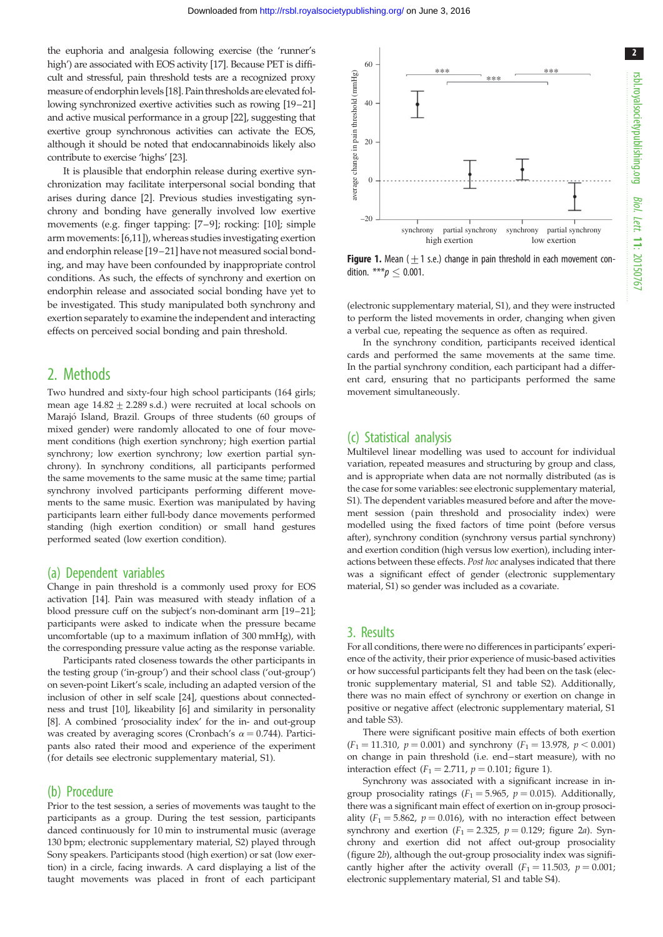the euphoria and analgesia following exercise (the 'runner's high') are associated with EOS activity [[17](#page-3-0)]. Because PET is difficult and stressful, pain threshold tests are a recognized proxy measure of endorphinlevels [\[18\]](#page-3-0). Pain thresholds are elevated following synchronized exertive activities such as rowing [\[19](#page-3-0)–[21\]](#page-3-0) and active musical performance in a group [\[22\]](#page-3-0), suggesting that exertive group synchronous activities can activate the EOS, although it should be noted that endocannabinoids likely also contribute to exercise 'highs' [\[23\]](#page-3-0).

It is plausible that endorphin release during exertive synchronization may facilitate interpersonal social bonding that arises during dance [\[2\]](#page-2-0). Previous studies investigating synchrony and bonding have generally involved low exertive movements (e.g. finger tapping: [[7](#page-3-0)–[9\]](#page-3-0); rocking: [[10\]](#page-3-0); simple arm movements: [[6](#page-3-0),[11](#page-3-0)]), whereas studies investigating exertion and endorphin release [\[19](#page-3-0)–[21](#page-3-0)] have not measured social bonding, and may have been confounded by inappropriate control conditions. As such, the effects of synchrony and exertion on endorphin release and associated social bonding have yet to be investigated. This study manipulated both synchrony and exertion separately to examine the independent and interacting effects on perceived social bonding and pain threshold.

## 2. Methods

Two hundred and sixty-four high school participants (164 girls; mean age  $14.82 + 2.289$  s.d.) were recruited at local schools on Marajó Island, Brazil. Groups of three students (60 groups of mixed gender) were randomly allocated to one of four movement conditions (high exertion synchrony; high exertion partial synchrony; low exertion synchrony; low exertion partial synchrony). In synchrony conditions, all participants performed the same movements to the same music at the same time; partial synchrony involved participants performing different movements to the same music. Exertion was manipulated by having participants learn either full-body dance movements performed standing (high exertion condition) or small hand gestures performed seated (low exertion condition).

### (a) Dependent variables

Change in pain threshold is a commonly used proxy for EOS activation [[14](#page-3-0)]. Pain was measured with steady inflation of a blood pressure cuff on the subject's non-dominant arm [[19](#page-3-0)–[21\]](#page-3-0); participants were asked to indicate when the pressure became uncomfortable (up to a maximum inflation of 300 mmHg), with the corresponding pressure value acting as the response variable.

Participants rated closeness towards the other participants in the testing group ('in-group') and their school class ('out-group') on seven-point Likert's scale, including an adapted version of the inclusion of other in self scale [\[24\]](#page-3-0), questions about connectedness and trust [[10](#page-3-0)], likeability [[6\]](#page-3-0) and similarity in personality [\[8](#page-3-0)]. A combined 'prosociality index' for the in- and out-group was created by averaging scores (Cronbach's  $\alpha = 0.744$ ). Participants also rated their mood and experience of the experiment (for details see electronic supplementary material, S1).

### (b) Procedure

Prior to the test session, a series of movements was taught to the participants as a group. During the test session, participants danced continuously for 10 min to instrumental music (average 130 bpm; electronic supplementary material, S2) played through Sony speakers. Participants stood (high exertion) or sat (low exertion) in a circle, facing inwards. A card displaying a list of the taught movements was placed in front of each participant



**Figure 1.** Mean ( $\pm$ 1 s.e.) change in pain threshold in each movement condition. \*\*\* $p \leq 0.001$ .

(electronic supplementary material, S1), and they were instructed to perform the listed movements in order, changing when given a verbal cue, repeating the sequence as often as required.

In the synchrony condition, participants received identical cards and performed the same movements at the same time. In the partial synchrony condition, each participant had a different card, ensuring that no participants performed the same movement simultaneously.

## (c) Statistical analysis

Multilevel linear modelling was used to account for individual variation, repeated measures and structuring by group and class, and is appropriate when data are not normally distributed (as is the case for some variables: see electronic supplementary material, S1). The dependent variables measured before and after the movement session (pain threshold and prosociality index) were modelled using the fixed factors of time point (before versus after), synchrony condition (synchrony versus partial synchrony) and exertion condition (high versus low exertion), including interactions between these effects. Post hoc analyses indicated that there was a significant effect of gender (electronic supplementary material, S1) so gender was included as a covariate.

### 3. Results

For all conditions, there were no differences in participants' experience of the activity, their prior experience of music-based activities or how successful participants felt they had been on the task (electronic supplementary material, S1 and table S2). Additionally, there was no main effect of synchrony or exertion on change in positive or negative affect (electronic supplementary material, S1 and table S3).

There were significant positive main effects of both exertion  $(F_1 = 11.310, p = 0.001)$  and synchrony  $(F_1 = 13.978, p < 0.001)$ on change in pain threshold (i.e. end–start measure), with no interaction effect ( $F_1 = 2.711$ ,  $p = 0.101$ ; figure 1).

Synchrony was associated with a significant increase in ingroup prosociality ratings ( $F_1 = 5.965$ ,  $p = 0.015$ ). Additionally, there was a significant main effect of exertion on in-group prosociality ( $F_1 = 5.862$ ,  $p = 0.016$ ), with no interaction effect between synchrony and exertion  $(F_1 = 2.325, p = 0.129)$ ; [figure 2](#page-2-0)a). Synchrony and exertion did not affect out-group prosociality ([figure 2](#page-2-0)b), although the out-group prosociality index was significantly higher after the activity overall  $(F_1 = 11.503, p = 0.001;$ electronic supplementary material, S1 and table S4).

Biol.Lett.

11: 20150767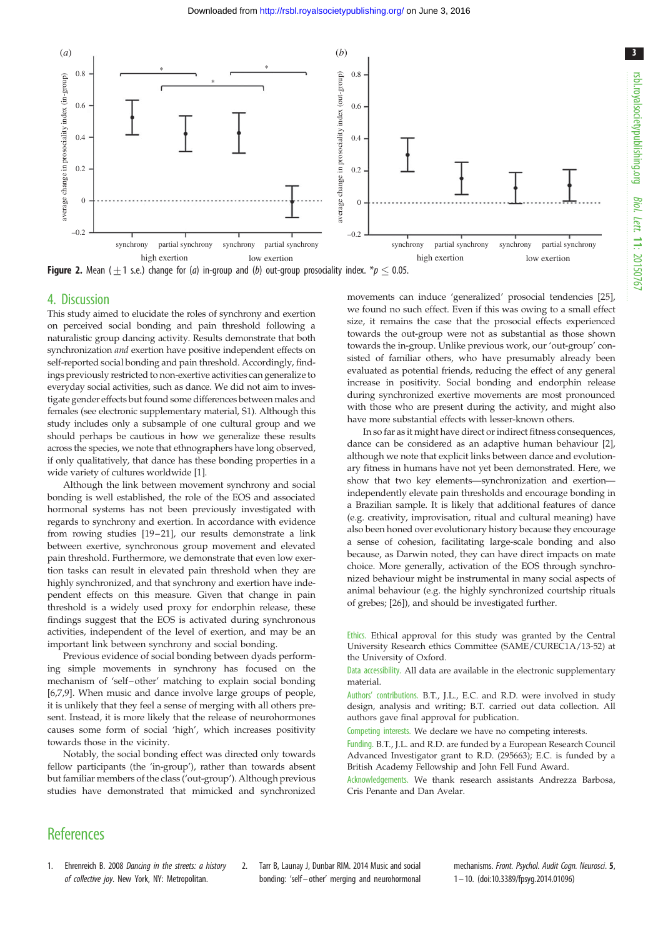<span id="page-2-0"></span>

**Figure 2.** Mean ( $\pm$ 1 s.e.) change for (*a*) in-group and (*b*) out-group prosociality index. \**p*  $\leq$  0.05.

#### 4. Discussion

This study aimed to elucidate the roles of synchrony and exertion on perceived social bonding and pain threshold following a naturalistic group dancing activity. Results demonstrate that both synchronization and exertion have positive independent effects on self-reported social bonding and pain threshold. Accordingly, findings previously restricted to non-exertive activities can generalize to everyday social activities, such as dance. We did not aim to investigate gender effects but found some differences between males and females (see electronic supplementary material, S1). Although this study includes only a subsample of one cultural group and we should perhaps be cautious in how we generalize these results across the species, we note that ethnographers have long observed, if only qualitatively, that dance has these bonding properties in a wide variety of cultures worldwide [1].

Although the link between movement synchrony and social bonding is well established, the role of the EOS and associated hormonal systems has not been previously investigated with regards to synchrony and exertion. In accordance with evidence from rowing studies [\[19](#page-3-0)-21], our results demonstrate a link between exertive, synchronous group movement and elevated pain threshold. Furthermore, we demonstrate that even low exertion tasks can result in elevated pain threshold when they are highly synchronized, and that synchrony and exertion have independent effects on this measure. Given that change in pain threshold is a widely used proxy for endorphin release, these findings suggest that the EOS is activated during synchronous activities, independent of the level of exertion, and may be an important link between synchrony and social bonding.

Previous evidence of social bonding between dyads performing simple movements in synchrony has focused on the mechanism of 'self –other' matching to explain social bonding [\[6](#page-3-0),[7,9](#page-3-0)]. When music and dance involve large groups of people, it is unlikely that they feel a sense of merging with all others present. Instead, it is more likely that the release of neurohormones causes some form of social 'high', which increases positivity towards those in the vicinity.

Notably, the social bonding effect was directed only towards fellow participants (the 'in-group'), rather than towards absent but familiar members of the class ('out-group'). Although previous studies have demonstrated that mimicked and synchronized

movements can induce 'generalized' prosocial tendencies [\[25\]](#page-3-0), we found no such effect. Even if this was owing to a small effect size, it remains the case that the prosocial effects experienced towards the out-group were not as substantial as those shown towards the in-group. Unlike previous work, our 'out-group' consisted of familiar others, who have presumably already been evaluated as potential friends, reducing the effect of any general increase in positivity. Social bonding and endorphin release during synchronized exertive movements are most pronounced with those who are present during the activity, and might also have more substantial effects with lesser-known others.

In so far as it might have direct or indirect fitness consequences, dance can be considered as an adaptive human behaviour [2], although we note that explicit links between dance and evolutionary fitness in humans have not yet been demonstrated. Here, we show that two key elements—synchronization and exertion independently elevate pain thresholds and encourage bonding in a Brazilian sample. It is likely that additional features of dance (e.g. creativity, improvisation, ritual and cultural meaning) have also been honed over evolutionary history because they encourage a sense of cohesion, facilitating large-scale bonding and also because, as Darwin noted, they can have direct impacts on mate choice. More generally, activation of the EOS through synchronized behaviour might be instrumental in many social aspects of animal behaviour (e.g. the highly synchronized courtship rituals of grebes; [\[26\]](#page-3-0)), and should be investigated further.

Ethics. Ethical approval for this study was granted by the Central University Research ethics Committee (SAME/CUREC1A/13-52) at the University of Oxford.

Data accessibility. All data are available in the electronic supplementary material.

Authors' contributions. B.T., J.L., E.C. and R.D. were involved in study design, analysis and writing; B.T. carried out data collection. All authors gave final approval for publication.

Competing interests. We declare we have no competing interests.

Funding. B.T., J.L. and R.D. are funded by a European Research Council Advanced Investigator grant to R.D. (295663); E.C. is funded by a British Academy Fellowship and John Fell Fund Award.

Acknowledgements. We thank research assistants Andrezza Barbosa, Cris Penante and Dan Avelar.

# **References**

- 1. Ehrenreich B. 2008 Dancing in the streets: a history of collective joy. New York, NY: Metropolitan.
- 2. Tarr B, Launay J, Dunbar RIM. 2014 Music and social bonding: 'self – other' merging and neurohormonal

mechanisms. Front. Psychol. Audit Coan. Neurosci. 5, 1– 10. [\(doi:10.3389/fpsyg.2014.01096\)](http://dx.doi.org/10.3389/fpsyg.2014.01096)

3